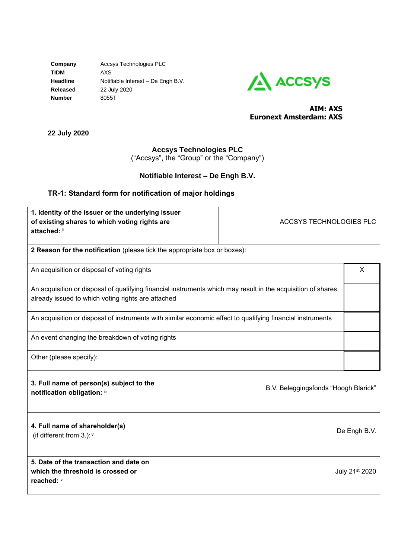**Company** Accsys Technologies PLC **TIDM** AXS **Headline** Notifiable Interest – De Engh B.V. **Released** 22 July 2020 **Number** 8055T



## **AIM: AXS Euronext Amsterdam: AXS**

**22 July 2020**

## **Accsys Technologies PLC**

("Accsys", the "Group" or the "Company")

# **Notifiable Interest – De Engh B.V.**

# **TR-1: Standard form for notification of major holdings**

| 1. Identity of the issuer or the underlying issuer<br>of existing shares to which voting rights are<br>attached: ii                                                | <b>ACCSYS TECHNOLOGIES PLC</b>       |                            |
|--------------------------------------------------------------------------------------------------------------------------------------------------------------------|--------------------------------------|----------------------------|
| 2 Reason for the notification (please tick the appropriate box or boxes):                                                                                          |                                      |                            |
| An acquisition or disposal of voting rights                                                                                                                        |                                      | X                          |
| An acquisition or disposal of qualifying financial instruments which may result in the acquisition of shares<br>already issued to which voting rights are attached |                                      |                            |
| An acquisition or disposal of instruments with similar economic effect to qualifying financial instruments                                                         |                                      |                            |
| An event changing the breakdown of voting rights                                                                                                                   |                                      |                            |
| Other (please specify):                                                                                                                                            |                                      |                            |
| 3. Full name of person(s) subject to the<br>notification obligation: iii                                                                                           | B.V. Beleggingsfonds "Hoogh Blarick" |                            |
| 4. Full name of shareholder(s)<br>(if different from 3.):iv                                                                                                        |                                      | De Engh B.V.               |
| 5. Date of the transaction and date on<br>which the threshold is crossed or<br>reached: V                                                                          |                                      | July 21 <sup>st</sup> 2020 |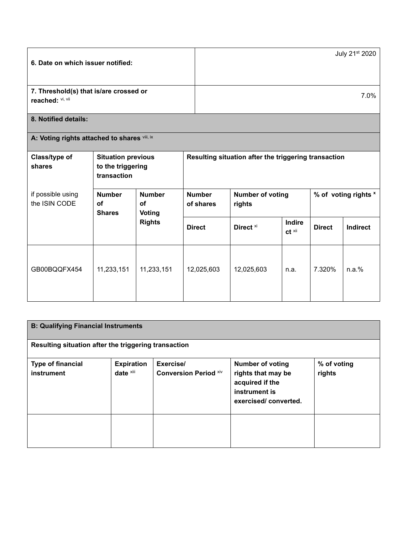| 6. Date on which issuer notified:                                                                                  |                                                               |                            |                                                           |                                                      |               |                 | July 21st 2020 |
|--------------------------------------------------------------------------------------------------------------------|---------------------------------------------------------------|----------------------------|-----------------------------------------------------------|------------------------------------------------------|---------------|-----------------|----------------|
| 7. Threshold(s) that is/are crossed or<br>reached: Vi, Vii                                                         |                                                               |                            |                                                           | 7.0%                                                 |               |                 |                |
| 8. Notified details:                                                                                               |                                                               |                            |                                                           |                                                      |               |                 |                |
| A: Voting rights attached to shares vili, ix                                                                       |                                                               |                            |                                                           |                                                      |               |                 |                |
| Class/type of<br>shares                                                                                            | <b>Situation previous</b><br>to the triggering<br>transaction |                            |                                                           | Resulting situation after the triggering transaction |               |                 |                |
| if possible using<br><b>Number</b><br>the ISIN CODE<br>of<br>of<br><b>Shares</b><br><b>Voting</b><br><b>Rights</b> | <b>Number</b>                                                 | <b>Number</b><br>of shares | <b>Number of voting</b><br>% of voting rights x<br>rights |                                                      |               |                 |                |
|                                                                                                                    |                                                               | <b>Direct</b>              | Direct <b>xi</b>                                          | <b>Indire</b><br>$ct^{\overline{x}i}$                | <b>Direct</b> | <b>Indirect</b> |                |
| GB00BQQFX454                                                                                                       | 11,233,151                                                    | 11,233,151                 | 12,025,603                                                | 12,025,603                                           | n.a.          | 7.320%          | n.a.%          |

| <b>B: Qualifying Financial Instruments</b>           |                                |                                           |                                                                                                           |                       |
|------------------------------------------------------|--------------------------------|-------------------------------------------|-----------------------------------------------------------------------------------------------------------|-----------------------|
| Resulting situation after the triggering transaction |                                |                                           |                                                                                                           |                       |
| <b>Type of financial</b><br>instrument               | <b>Expiration</b><br>date xiii | Exercise/<br><b>Conversion Period xiv</b> | <b>Number of voting</b><br>rights that may be<br>acquired if the<br>instrument is<br>exercised/converted. | % of voting<br>rights |
|                                                      |                                |                                           |                                                                                                           |                       |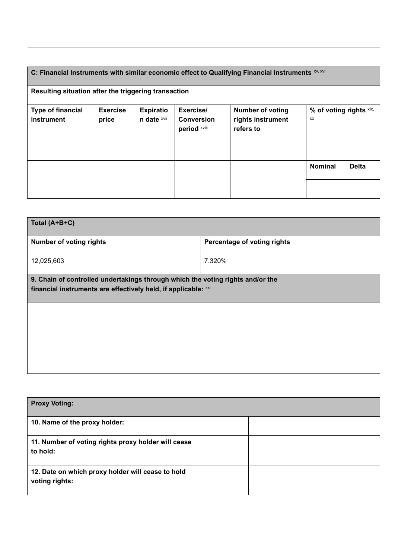### C: Financial Instruments with similar economic effect to Qualifying Financial Instruments **xv, xvi Resulting situation after the triggering transaction Type of financial instrument Exercise price Expiratio n date** xvii **Exercise/ Conversion period** xviii **Number of voting rights instrument refers to % of voting rights** xix, xx **Nominal Delta**

| Total (A+B+C)                                                                                                                                    |                             |  |  |
|--------------------------------------------------------------------------------------------------------------------------------------------------|-----------------------------|--|--|
| <b>Number of voting rights</b>                                                                                                                   | Percentage of voting rights |  |  |
| 12,025,603                                                                                                                                       | 7.320%                      |  |  |
| 9. Chain of controlled undertakings through which the voting rights and/or the<br>financial instruments are effectively held, if applicable: xxi |                             |  |  |
|                                                                                                                                                  |                             |  |  |
|                                                                                                                                                  |                             |  |  |
|                                                                                                                                                  |                             |  |  |
|                                                                                                                                                  |                             |  |  |

| <b>Proxy Voting:</b>                                                |  |
|---------------------------------------------------------------------|--|
| 10. Name of the proxy holder:                                       |  |
| 11. Number of voting rights proxy holder will cease<br>to hold:     |  |
| 12. Date on which proxy holder will cease to hold<br>voting rights: |  |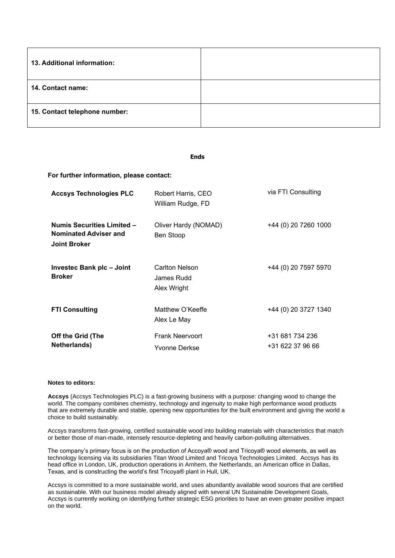| 13. Additional information:   |  |
|-------------------------------|--|
| 14. Contact name:             |  |
| 15. Contact telephone number: |  |

#### **Ends**

**For further information, please contact:**

| <b>Accsys Technologies PLC</b>                                                           | Robert Harris, CEO<br>William Rudge, FD     | via FTI Consulting                  |
|------------------------------------------------------------------------------------------|---------------------------------------------|-------------------------------------|
| <b>Numis Securities Limited -</b><br><b>Nominated Adviser and</b><br><b>Joint Broker</b> | Oliver Hardy (NOMAD)<br>Ben Stoop           | +44 (0) 20 7260 1000                |
| Investec Bank plc - Joint<br><b>Broker</b>                                               | Carlton Nelson<br>James Rudd<br>Alex Wright | +44 (0) 20 7597 5970                |
| <b>FTI Consulting</b>                                                                    | Matthew O'Keeffe<br>Alex Le May             | +44 (0) 20 3727 1340                |
| Off the Grid (The<br>Netherlands)                                                        | <b>Frank Neervoort</b><br>Yvonne Derkse     | +31 681 734 236<br>+31 622 37 96 66 |

#### **Notes to editors:**

**Accsys** (Accsys Technologies PLC) is a fast-growing business with a purpose: changing wood to change the world. The company combines chemistry, technology and ingenuity to make high performance wood products that are extremely durable and stable, opening new opportunities for the built environment and giving the world a choice to build sustainably.

Accsys transforms fast-growing, certified sustainable wood into building materials with characteristics that match or better those of man-made, intensely resource-depleting and heavily carbon-polluting alternatives.

The company's primary focus is on the production of Accoya® wood and Tricoya® wood elements, as well as technology licensing via its subsidiaries Titan Wood Limited and Tricoya Technologies Limited. Accsys has its head office in London, UK, production operations in Arnhem, the Netherlands, an American office in Dallas, Texas, and is constructing the world's first Tricoya® plant in Hull, UK.

Accsys is committed to a more sustainable world, and uses abundantly available wood sources that are certified as sustainable. With our business model already aligned with several UN Sustainable Development Goals, Accsys is currently working on identifying further strategic ESG priorities to have an even greater positive impact on the world.